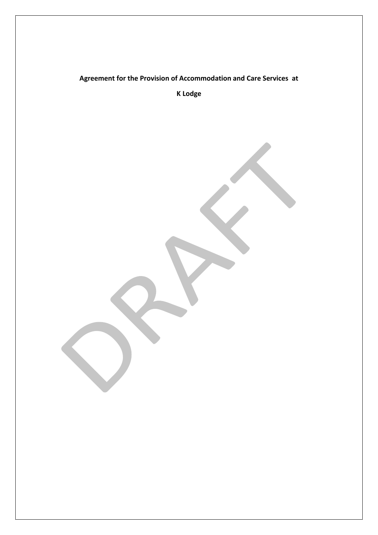# **Agreement for the Provision of Accommodation and Care Services at K Lodge**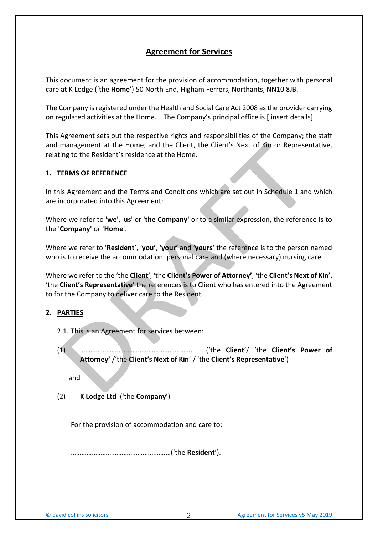# **Agreement for Services**

This document is an agreement for the provision of accommodation, together with personal care at K Lodge ('the **Home**') 50 North End, Higham Ferrers, Northants, NN10 8JB.

The Company is registered under the Health and Social Care Act 2008 as the provider carrying on regulated activities at the Home. The Company's principal office is [ insert details]

This Agreement sets out the respective rights and responsibilities of the Company; the staff and management at the Home; and the Client, the Client's Next of Kin or Representative, relating to the Resident's residence at the Home.

#### **1. TERMS OF REFERENCE**

In this Agreement and the Terms and Conditions which are set out in Schedule 1 and which are incorporated into this Agreement:

Where we refer to '**we**', '**us**' or **'the Company'** or to a similar expression, the reference is to the '**Company'** or '**Home**'.

Where we refer to '**Resident**', '**you'**, '**your'** and '**yours'** the reference is to the person named who is to receive the accommodation, personal care and (where necessary) nursing care.

Where we refer to the 'the **Client**', 'the **Client's Power of Attorney'**, 'the **Client's Next of Kin**', 'the **Client's Representative**' the references is to Client who has entered into the Agreement to for the Company to deliver care to the Resident.

## **2. PARTIES**

- 2.1. This is an Agreement for services between:
- (1) ………………………………………………………… ('the **Client**'/ 'the **Client's Power of Attorney'** /'the **Client's Next of Kin**' / 'the **Client's Representative**')

and

(2) **K Lodge Ltd** ('the **Company**')

For the provision of accommodation and care to:

…………………………………………………('the **Resident**').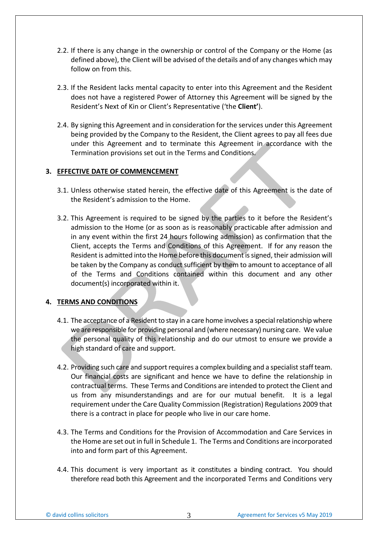- 2.2. If there is any change in the ownership or control of the Company or the Home (as defined above), the Client will be advised of the details and of any changes which may follow on from this.
- 2.3. If the Resident lacks mental capacity to enter into this Agreement and the Resident does not have a registered Power of Attorney this Agreement will be signed by the Resident's Next of Kin or Client's Representative ('the **Client'**).
- 2.4. By signing this Agreement and in consideration for the services under this Agreement being provided by the Company to the Resident, the Client agrees to pay all fees due under this Agreement and to terminate this Agreement in accordance with the Termination provisions set out in the Terms and Conditions.

#### **3. EFFECTIVE DATE OF COMMENCEMENT**

- 3.1. Unless otherwise stated herein, the effective date of this Agreement is the date of the Resident's admission to the Home.
- 3.2. This Agreement is required to be signed by the parties to it before the Resident's admission to the Home (or as soon as is reasonably practicable after admission and in any event within the first 24 hours following admission) as confirmation that the Client, accepts the Terms and Conditions of this Agreement. If for any reason the Resident is admitted into the Home before this document is signed, their admission will be taken by the Company as conduct sufficient by them to amount to acceptance of all of the Terms and Conditions contained within this document and any other document(s) incorporated within it.

## **4. TERMS AND CONDITIONS**

- 4.1. The acceptance of a Resident to stay in a care home involves a special relationship where we are responsible for providing personal and (where necessary) nursing care. We value the personal quality of this relationship and do our utmost to ensure we provide a high standard of care and support.
- 4.2. Providing such care and support requires a complex building and a specialist staff team. Our financial costs are significant and hence we have to define the relationship in contractual terms. These Terms and Conditions are intended to protect the Client and us from any misunderstandings and are for our mutual benefit. It is a legal requirement under the Care Quality Commission (Registration) Regulations 2009 that there is a contract in place for people who live in our care home.
- 4.3. The Terms and Conditions for the Provision of Accommodation and Care Services in the Home are set out in full in Schedule 1. The Terms and Conditions are incorporated into and form part of this Agreement.
- 4.4. This document is very important as it constitutes a binding contract. You should therefore read both this Agreement and the incorporated Terms and Conditions very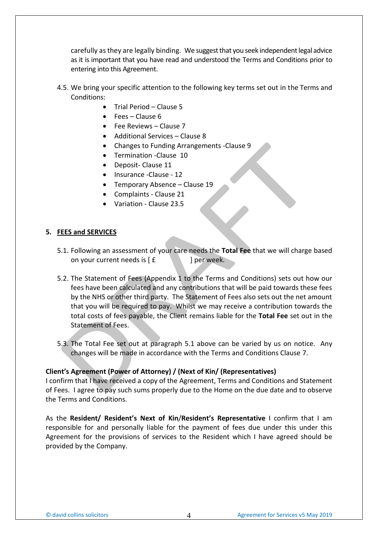carefully as they are legally binding. We suggest that you seek independent legal advice as it is important that you have read and understood the Terms and Conditions prior to entering into this Agreement.

- 4.5. We bring your specific attention to the following key terms set out in the Terms and Conditions:
	- Trial Period Clause 5
	- Fees Clause 6
	- Fee Reviews Clause 7
	- Additional Services Clause 8
	- Changes to Funding Arrangements -Clause 9
	- Termination -Clause 10
	- Deposit- Clause 11
	- Insurance -Clause 12
	- Temporary Absence Clause 19
	- Complaints Clause 21
	- Variation Clause 23.5

#### **5. FEES and SERVICES**

- 5.1. Following an assessment of your care needs the **Total Fee** that we will charge based on your current needs is  $[f \quad]$  per week.
- 5.2. The Statement of Fees (Appendix 1 to the Terms and Conditions) sets out how our fees have been calculated and any contributions that will be paid towards these fees by the NHS or other third party. The Statement of Fees also sets out the net amount that you will be required to pay. Whilst we may receive a contribution towards the total costs of fees payable, the Client remains liable for the **Total Fee** set out in the Statement of Fees.
- 5.3. The Total Fee set out at paragraph 5.1 above can be varied by us on notice. Any changes will be made in accordance with the Terms and Conditions Clause 7.

#### **Client's Agreement (Power of Attorney) / (Next of Kin/ (Representatives)**

I confirm that I have received a copy of the Agreement, Terms and Conditions and Statement of Fees. I agree to pay such sums properly due to the Home on the due date and to observe the Terms and Conditions.

As the **Resident/ Resident's Next of Kin**/**Resident's Representative** I confirm that I am responsible for and personally liable for the payment of fees due under this under this Agreement for the provisions of services to the Resident which I have agreed should be provided by the Company.